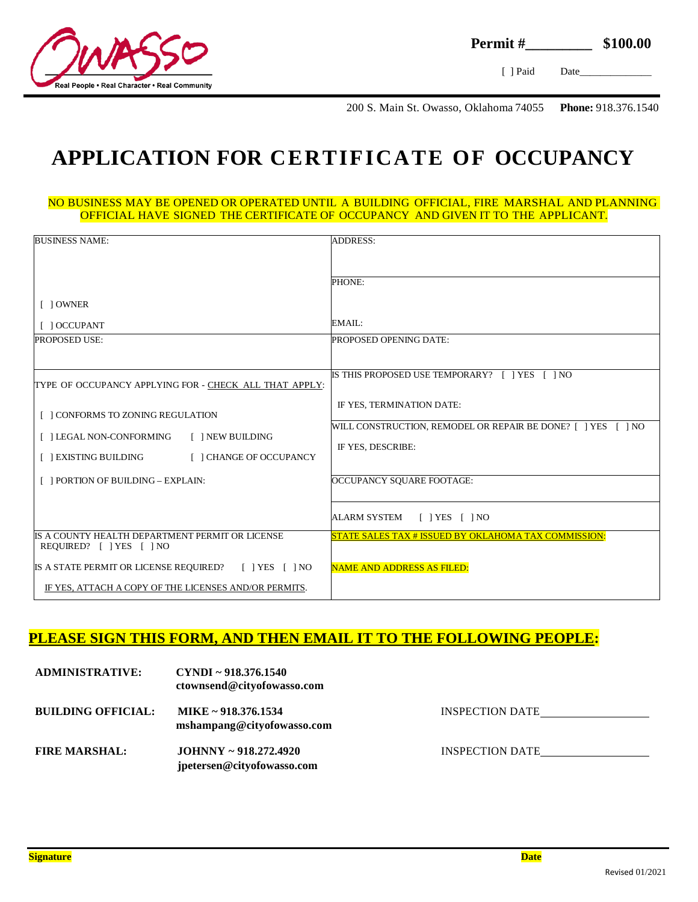

[ ] Paid Date

200 S. Main St. Owasso, Oklahoma 74055 **Phone:** 918.376.1540

### **APPLICATION FOR CERTIFICATE OF OCCUPANCY**

#### NO BUSINESS MAY BE OPENED OR OPERATED UNTIL A BUILDING OFFICIAL, FIRE MARSHAL AND PLANNING OFFICIAL HAVE SIGNED THE CERTIFICATE OF OCCUPANCY AND GIVEN IT TO THE APPLICANT.

| <b>BUSINESS NAME:</b>                                                       | <b>ADDRESS:</b>                                              |
|-----------------------------------------------------------------------------|--------------------------------------------------------------|
|                                                                             |                                                              |
|                                                                             |                                                              |
|                                                                             | PHONE:                                                       |
| [ ] OWNER                                                                   |                                                              |
| [ ] OCCUPANT                                                                | EMAIL:                                                       |
| <b>PROPOSED USE:</b>                                                        | PROPOSED OPENING DATE:                                       |
|                                                                             |                                                              |
| TYPE OF OCCUPANCY APPLYING FOR - CHECK ALL THAT APPLY:                      | IS THIS PROPOSED USE TEMPORARY? [ ] YES<br>$\sqrt{1 NQ}$     |
|                                                                             |                                                              |
| [ ] CONFORMS TO ZONING REGULATION                                           | IF YES, TERMINATION DATE:                                    |
|                                                                             | WILL CONSTRUCTION, REMODEL OR REPAIR BE DONE? [ ] YES [ ] NO |
| [ ] LEGAL NON-CONFORMING<br>[ ] NEW BUILDING                                | IF YES, DESCRIBE:                                            |
| [ ] EXISTING BUILDING<br>[ ] CHANGE OF OCCUPANCY                            |                                                              |
|                                                                             |                                                              |
| [ ] PORTION OF BUILDING - EXPLAIN:                                          | OCCUPANCY SOUARE FOOTAGE:                                    |
|                                                                             |                                                              |
|                                                                             | ALARM SYSTEM<br>$[$   YES $[$   NO                           |
| IS A COUNTY HEALTH DEPARTMENT PERMIT OR LICENSE<br>REQUIRED? [ ] YES [ ] NO | STATE SALES TAX # ISSUED BY OKLAHOMA TAX COMMISSION:         |
| IS A STATE PERMIT OR LICENSE REQUIRED? [ ] YES [ ] NO                       | <b>NAME AND ADDRESS AS FILED:</b>                            |
| IF YES, ATTACH A COPY OF THE LICENSES AND/OR PERMITS.                       |                                                              |

#### **PLEASE SIGN THIS FORM, AND THEN EMAIL IT TO THE FOLLOWING PEOPLE:**

| <b>ADMINISTRATIVE:</b>    | $CYNDI \sim 918.376.1540$<br>ctownsend@cityofowasso.com  |                        |
|---------------------------|----------------------------------------------------------|------------------------|
| <b>BUILDING OFFICIAL:</b> | MIKE ~ 918.376.1534<br>mshampang@cityofowasso.com        | <b>INSPECTION DATE</b> |
| <b>FIRE MARSHAL:</b>      | $JOHNNY \sim 918.272.4920$<br>jpetersen@cityofowasso.com | <b>INSPECTION DATE</b> |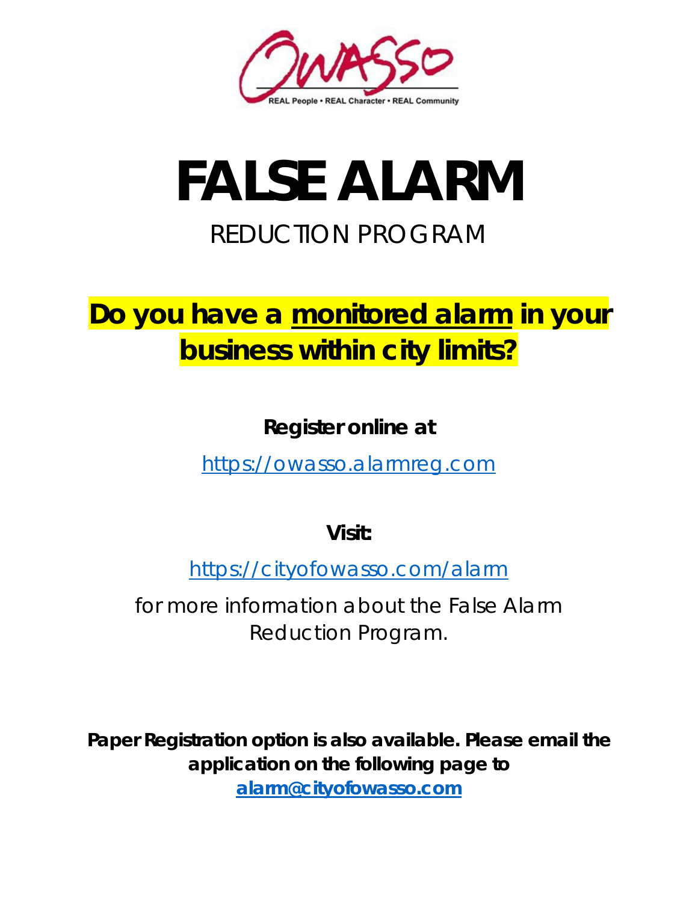

# **FALSE ALARM** REDUCTION PROGRAM

## **Do you have a monitored alarm in your business within city limits?**

**Register online at**

[https://owasso.alarmreg.com](https://owasso.alarmreg.com/)

**Visit:**

<https://cityofowasso.com/alarm>

for more information about the False Alarm Reduction Program.

**Paper Registration option is also available. Please email the application on the following page to [alarm@cityofowasso.com](mailto:alarm@cityofowasso.com)**